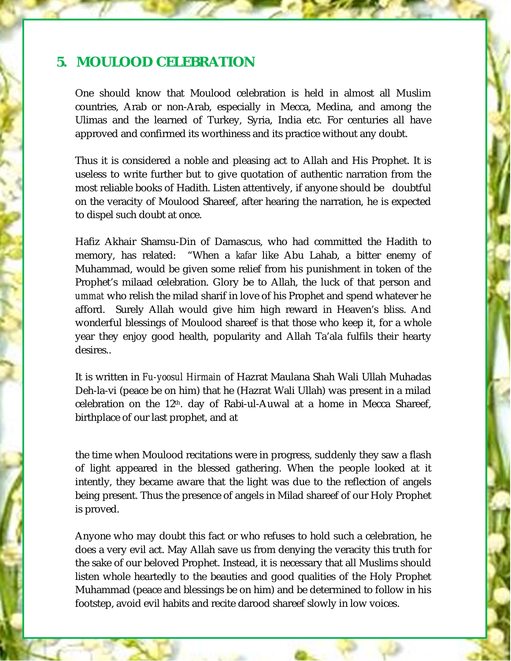## **5. MOULOOD CELEBRATION**

One should know that Moulood celebration is held in almost all Muslim countries, Arab or non-Arab, especially in Mecca, Medina, and among the Ulimas and the learned of Turkey, Syria, India etc. For centuries all have approved and confirmed its worthiness and its practice without any doubt.

Thus it is considered a noble and pleasing act to Allah and His Prophet. It is useless to write further but to give quotation of authentic narration from the most reliable books of Hadith. Listen attentively, if anyone should be doubtful on the veracity of Moulood Shareef, after hearing the narration, he is expected to dispel such doubt at once.

Hafiz Akhair Shamsu-Din of Damascus, who had committed the Hadith to memory, has related: "When a *kafa*r like Abu Lahab, a bitter enemy of Muhammad, would be given some relief from his punishment in token of the Prophet's milaad celebration. Glory be to Allah, the luck of that person and *ummat* who relish the milad sharif in love of his Prophet and spend whatever he afford. Surely Allah would give him high reward in Heaven's bliss. And wonderful blessings of Moulood shareef is that those who keep it, for a whole year they enjoy good health, popularity and Allah Ta'ala fulfils their hearty desires..

It is written in *Fu-yoosul Hirmain* of Hazrat Maulana Shah Wali Ullah Muhadas Deh-la-vi (peace be on him) that he (Hazrat Wali Ullah) was present in a milad celebration on the  $12<sup>th</sup>$ . day of Rabi-ul-Auwal at a home in Mecca Shareef, birthplace of our last prophet, and at

the time when Moulood recitations were in progress, suddenly they saw a flash of light appeared in the blessed gathering. When the people looked at it intently, they became aware that the light was due to the reflection of angels being present. Thus the presence of angels in Milad shareef of our Holy Prophet is proved.

Anyone who may doubt this fact or who refuses to hold such a celebration, he does a very evil act. May Allah save us from denying the veracity this truth for the sake of our beloved Prophet. Instead, it is necessary that all Muslims should listen whole heartedly to the beauties and good qualities of the Holy Prophet Muhammad (peace and blessings be on him) and be determined to follow in his footstep, avoid evil habits and recite darood shareef slowly in low voices.